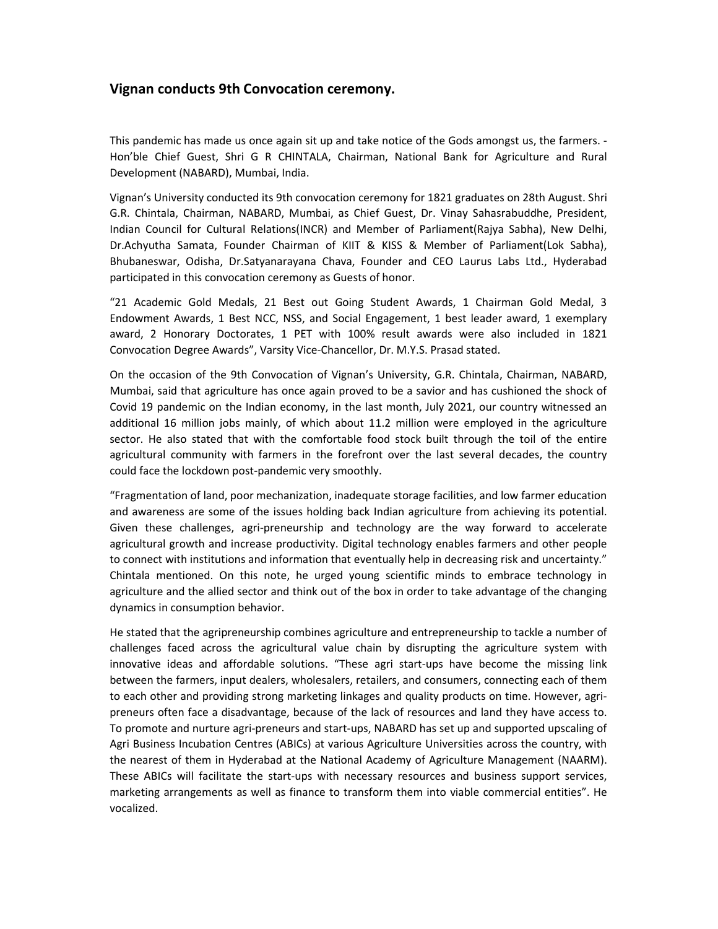## **Vignan conducts 9th Convocation ceremony.**

This pandemic has made us once again sit up and take notice of the Gods amongst us, the farmers. - Hon'ble Chief Guest, Shri G R CHINTALA, Chairman, National Bank for Agriculture and Rural Development (NABARD), Mumbai, India.

Vignan's University conducted its 9th convocation ceremony for 1821 graduates on 28th August. Shri G.R. Chintala, Chairman, NABARD, Mumbai, as Chief Guest, Dr. Vinay Sahasrabuddhe, President, Indian Council for Cultural Relations(INCR) and Member of Parliament(Rajya Sabha), New Delhi, Dr.Achyutha Samata, Founder Chairman of KIIT & KISS & Member of Parliament(Lok Sabha), Bhubaneswar, Odisha, Dr.Satyanarayana Chava, Founder and CEO Laurus Labs Ltd., Hyderabad participated in this convocation ceremony as Guests of honor.

"21 Academic Gold Medals, 21 Best out Going Student Awards, 1 Chairman Gold Medal, 3 Endowment Awards, 1 Best NCC, NSS, and Social Engagement, 1 best leader award, 1 exemplary award, 2 Honorary Doctorates, 1 PET with 100% result awards were also included in 1821 Convocation Degree Awards", Varsity Vice-Chancellor, Dr. M.Y.S. Prasad stated.

On the occasion of the 9th Convocation of Vignan's University, G.R. Chintala, Chairman, NABARD, Mumbai, said that agriculture has once again proved to be a savior and has cushioned the shock of Covid 19 pandemic on the Indian economy, in the last month, July 2021, our country witnessed an additional 16 million jobs mainly, of which about 11.2 million were employed in the agriculture sector. He also stated that with the comfortable food stock built through the toil of the entire agricultural community with farmers in the forefront over the last several decades, the country could face the lockdown post-pandemic very smoothly.

"Fragmentation of land, poor mechanization, inadequate storage facilities, and low farmer education and awareness are some of the issues holding back Indian agriculture from achieving its potential. Given these challenges, agri-preneurship and technology are the way forward to accelerate agricultural growth and increase productivity. Digital technology enables farmers and other people to connect with institutions and information that eventually help in decreasing risk and uncertainty." Chintala mentioned. On this note, he urged young scientific minds to embrace technology in agriculture and the allied sector and think out of the box in order to take advantage of the changing dynamics in consumption behavior.

He stated that the agripreneurship combines agriculture and entrepreneurship to tackle a number of challenges faced across the agricultural value chain by disrupting the agriculture system with innovative ideas and affordable solutions. "These agri start-ups have become the missing link between the farmers, input dealers, wholesalers, retailers, and consumers, connecting each of them to each other and providing strong marketing linkages and quality products on time. However, agripreneurs often face a disadvantage, because of the lack of resources and land they have access to. To promote and nurture agri-preneurs and start-ups, NABARD has set up and supported upscaling of Agri Business Incubation Centres (ABICs) at various Agriculture Universities across the country, with the nearest of them in Hyderabad at the National Academy of Agriculture Management (NAARM). These ABICs will facilitate the start-ups with necessary resources and business support services, marketing arrangements as well as finance to transform them into viable commercial entities". He vocalized.